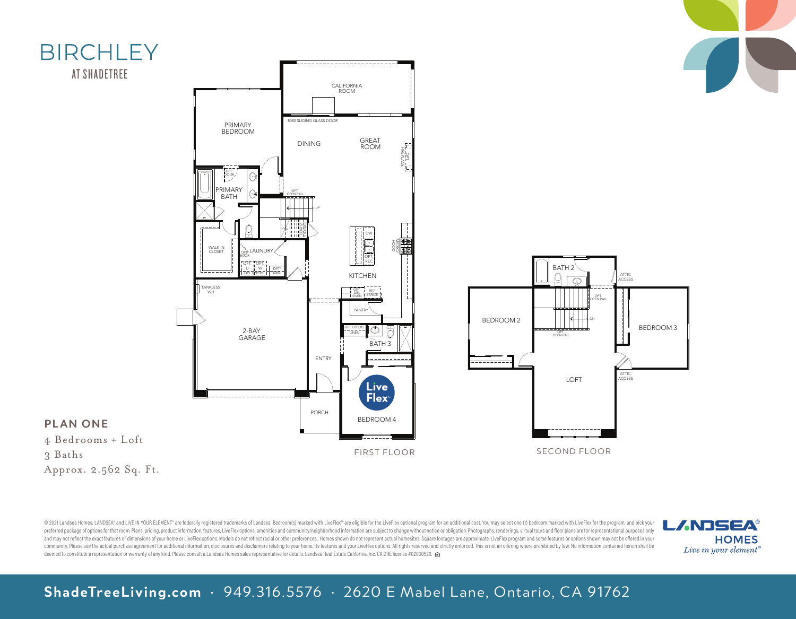

© 2021 Landsea Homes. LANDSEA" and LIVE IN YOUR ELEMENT® are federally registered trademarks of Landsea. Bedroom(s) marked with LiveFlex"" are eligible for the LiveFlex optional program for an additional cost. You may sele preferred package of options for that room. Plans, pricing, product information, features, LiveFlex options, amenities and community/neighborhood information are subiect to change without notice or obligation. Photographs, and may not reflect the exact features or dimensions of your home or LiveFlex options. Models do not reflect racial or other preferences. Homes shown do not represent actual homesites. Square footages are approximate. Live community. Please see the actual purchase agreement for additional information, disclosures and disclaimers relating to your home, its features and your LiveFlex options. All rights reserved and strictly enforced. This is deemed to constitute a representation or warranty of any kind. Please consult a Landsea Homes sales representative for details. Landsea Real Estate California, Inc. CA DRE license #02030520.



SECOND FLOOR